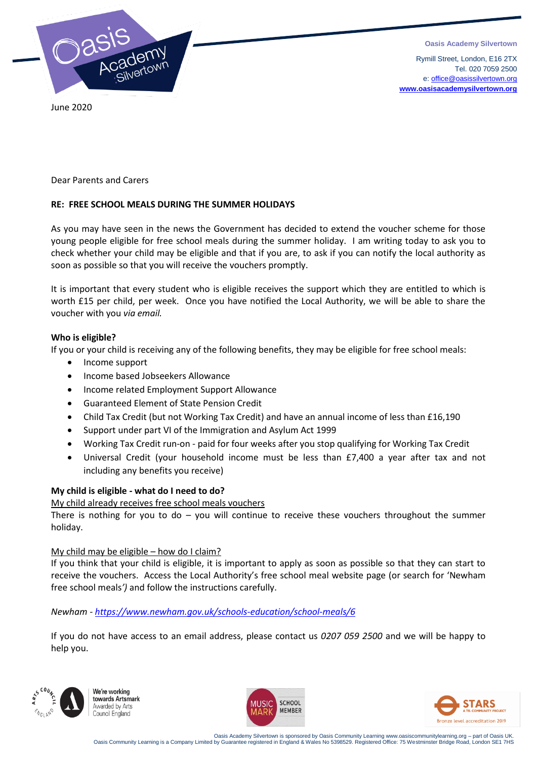

**Oasis Academy Silvertown**

 Rymill Street, London, E16 2TX Tel. 020 7059 2500 e: [office@oasissilvertown.org](mailto:office@oasissilvertown.org) **[www.oasisacademysilvertown.org](http://www.oasisacademysilvertown.org/)**

June 2020

Dear Parents and Carers

# **RE: FREE SCHOOL MEALS DURING THE SUMMER HOLIDAYS**

As you may have seen in the news the Government has decided to extend the voucher scheme for those young people eligible for free school meals during the summer holiday. I am writing today to ask you to check whether your child may be eligible and that if you are, to ask if you can notify the local authority as soon as possible so that you will receive the vouchers promptly.

It is important that every student who is eligible receives the support which they are entitled to which is worth £15 per child, per week. Once you have notified the Local Authority, we will be able to share the voucher with you *via email.*

## **Who is eligible?**

If you or your child is receiving any of the following benefits, they may be eligible for free school meals:

- Income support
- Income based Jobseekers Allowance
- Income related Employment Support Allowance
- Guaranteed Element of State Pension Credit
- Child Tax Credit (but not Working Tax Credit) and have an annual income of less than £16,190
- Support under part VI of the Immigration and Asylum Act 1999
- Working Tax Credit run-on paid for four weeks after you stop qualifying for Working Tax Credit
- Universal Credit (your household income must be less than £7,400 a year after tax and not including any benefits you receive)

# **My child is eligible - what do I need to do?**

# My child already receives free school meals vouchers

There is nothing for you to do – you will continue to receive these vouchers throughout the summer holiday.

# My child may be eligible – how do I claim?

If you think that your child is eligible, it is important to apply as soon as possible so that they can start to receive the vouchers. Access the Local Authority's free school meal website page (or search for 'Newham free school meals*')* and follow the instructions carefully.

*Newham - <https://www.newham.gov.uk/schools-education/school-meals/6>*

If you do not have access to an email address, please contact us *0207 059 2500* and we will be happy to help you.